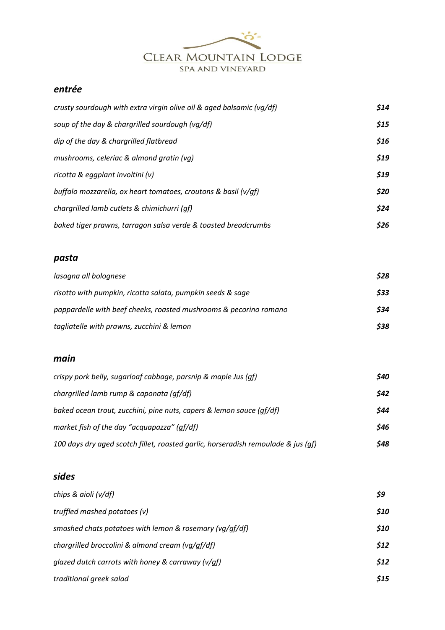

# *entrée*

| crusty sourdough with extra virgin olive oil & aged balsamic (vg/df) | \$14 |
|----------------------------------------------------------------------|------|
| soup of the day & chargrilled sourdough (vg/df)                      | \$15 |
| dip of the day & chargrilled flatbread                               | \$16 |
| mushrooms, celeriac & almond gratin (vg)                             | \$19 |
| ricotta & eggplant involtini (v)                                     | \$19 |
| buffalo mozzarella, ox heart tomatoes, croutons & basil (v/gf)       | \$20 |
| chargrilled lamb cutlets & chimichurri (qf)                          | \$24 |
| baked tiger prawns, tarragon salsa verde & toasted breadcrumbs       | \$26 |

#### *pasta*

| lasagna all bolognese                                             | \$28 |
|-------------------------------------------------------------------|------|
| risotto with pumpkin, ricotta salata, pumpkin seeds & sage        | \$33 |
| pappardelle with beef cheeks, roasted mushrooms & pecorino romano | \$34 |
| tagliatelle with prawns, zucchini & lemon                         | \$38 |

#### *main*

| crispy pork belly, sugarloaf cabbage, parsnip & maple Jus (gf)                    | \$40 |
|-----------------------------------------------------------------------------------|------|
| chargrilled lamb rump & caponata (qf/df)                                          | \$42 |
| baked ocean trout, zucchini, pine nuts, capers & lemon sauce (qf/df)              | \$44 |
| market fish of the day "acquapazza" (qf/df)                                       | \$46 |
| 100 days dry aged scotch fillet, roasted garlic, horseradish remoulade & jus (qf) | \$48 |

# *sides*

| chips & aioli (v/df)                                    | \$9        |
|---------------------------------------------------------|------------|
| truffled mashed potatoes (v)                            | <b>S10</b> |
| smashed chats potatoes with lemon & rosemary (vq/qf/df) | \$10       |
| chargrilled broccolini & almond cream (vq/qf/df)        | \$12       |
| glazed dutch carrots with honey & carraway ( $v$ /qf)   | \$12       |
| traditional greek salad                                 | \$15       |